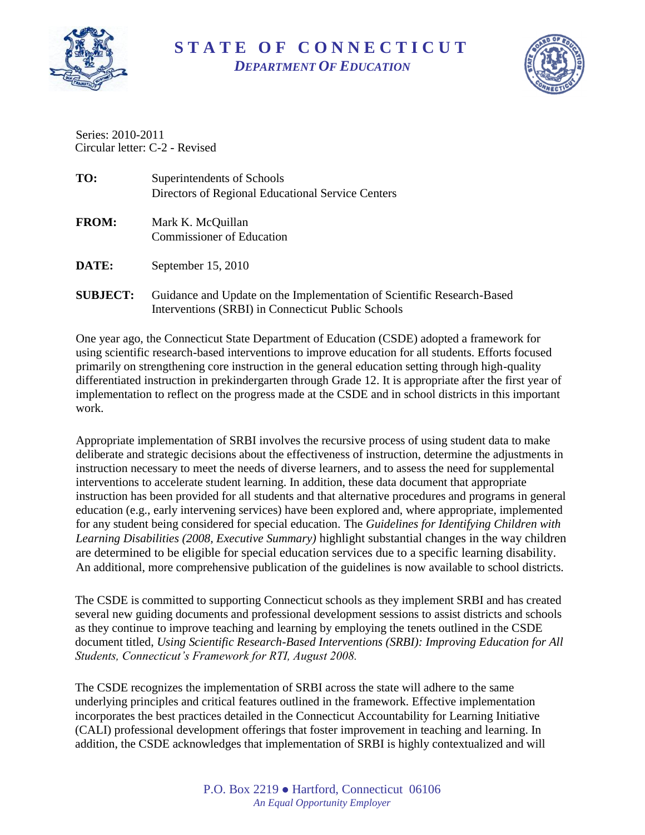

## **S T A T E O F C O N N E C T I C U T** *DEPARTMENT OF EDUCATION*



Circular letter: C-2 - Revised Series: 2010-2011

| TO:             | Superintendents of Schools                                                                                                   |
|-----------------|------------------------------------------------------------------------------------------------------------------------------|
|                 | Directors of Regional Educational Service Centers                                                                            |
| <b>FROM:</b>    | Mark K. McQuillan<br><b>Commissioner of Education</b>                                                                        |
| <b>DATE:</b>    | September $15, 2010$                                                                                                         |
| <b>SUBJECT:</b> | Guidance and Update on the Implementation of Scientific Research-Based<br>Interventions (SRBI) in Connecticut Public Schools |

One year ago, the Connecticut State Department of Education (CSDE) adopted a framework for using scientific research-based interventions to improve education for all students. Efforts focused primarily on strengthening core instruction in the general education setting through high-quality differentiated instruction in prekindergarten through Grade 12. It is appropriate after the first year of implementation to reflect on the progress made at the CSDE and in school districts in this important work.

Appropriate implementation of SRBI involves the recursive process of using student data to make deliberate and strategic decisions about the effectiveness of instruction, determine the adjustments in instruction necessary to meet the needs of diverse learners, and to assess the need for supplemental interventions to accelerate student learning. In addition, these data document that appropriate instruction has been provided for all students and that alternative procedures and programs in general education (e.g., early intervening services) have been explored and, where appropriate, implemented for any student being considered for special education. The *Guidelines for Identifying Children with Learning Disabilities (2008, Executive Summary)* highlight substantial changes in the way children are determined to be eligible for special education services due to a specific learning disability. An additional, more comprehensive publication of the guidelines is now available to school districts.

The CSDE is committed to supporting Connecticut schools as they implement SRBI and has created several new guiding documents and professional development sessions to assist districts and schools as they continue to improve teaching and learning by employing the tenets outlined in the CSDE document titled, *Using Scientific Research-Based Interventions (SRBI): Improving Education for All Students, Connecticut's Framework for RTI, August 2008.* 

The CSDE recognizes the implementation of SRBI across the state will adhere to the same underlying principles and critical features outlined in the framework. Effective implementation incorporates the best practices detailed in the Connecticut Accountability for Learning Initiative (CALI) professional development offerings that foster improvement in teaching and learning. In addition, the CSDE acknowledges that implementation of SRBI is highly contextualized and will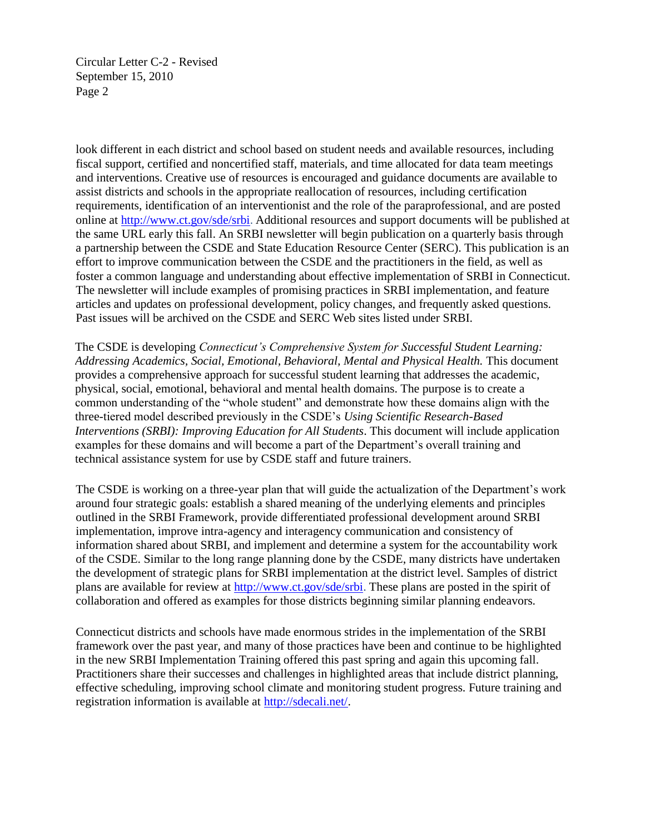Circular Letter C-2 - Revised September 15, 2010 Page 2

look different in each district and school based on student needs and available resources, including fiscal support, certified and noncertified staff, materials, and time allocated for data team meetings and interventions. Creative use of resources is encouraged and guidance documents are available to assist districts and schools in the appropriate reallocation of resources, including certification requirements, identification of an interventionist and the role of the paraprofessional, and are posted online at<http://www.ct.gov/sde/srbi>. Additional resources and support documents will be published at the same URL early this fall. An SRBI newsletter will begin publication on a quarterly basis through a partnership between the CSDE and State Education Resource Center (SERC). This publication is an effort to improve communication between the CSDE and the practitioners in the field, as well as foster a common language and understanding about effective implementation of SRBI in Connecticut. The newsletter will include examples of promising practices in SRBI implementation, and feature articles and updates on professional development, policy changes, and frequently asked questions. Past issues will be archived on the CSDE and SERC Web sites listed under SRBI.

The CSDE is developing *Connecticut's Comprehensive System for Successful Student Learning: Addressing Academics, Social, Emotional, Behavioral, Mental and Physical Health.* This document provides a comprehensive approach for successful student learning that addresses the academic, physical, social, emotional, behavioral and mental health domains. The purpose is to create a common understanding of the "whole student" and demonstrate how these domains align with the three-tiered model described previously in the CSDE's *Using Scientific Research-Based Interventions (SRBI): Improving Education for All Students*. This document will include application examples for these domains and will become a part of the Department's overall training and technical assistance system for use by CSDE staff and future trainers.

The CSDE is working on a three-year plan that will guide the actualization of the Department's work around four strategic goals: establish a shared meaning of the underlying elements and principles outlined in the SRBI Framework, provide differentiated professional development around SRBI implementation, improve intra-agency and interagency communication and consistency of information shared about SRBI, and implement and determine a system for the accountability work of the CSDE. Similar to the long range planning done by the CSDE, many districts have undertaken the development of strategic plans for SRBI implementation at the district level. Samples of district plans are available for review at [http://www.ct.gov/sde/srbi.](http://www.ct.gov/sde/srbi) These plans are posted in the spirit of collaboration and offered as examples for those districts beginning similar planning endeavors.

Connecticut districts and schools have made enormous strides in the implementation of the SRBI framework over the past year, and many of those practices have been and continue to be highlighted in the new SRBI Implementation Training offered this past spring and again this upcoming fall. Practitioners share their successes and challenges in highlighted areas that include district planning, effective scheduling, improving school climate and monitoring student progress. Future training and registration information is available at [http://sdecali.net/.](http://sdecali.net/)